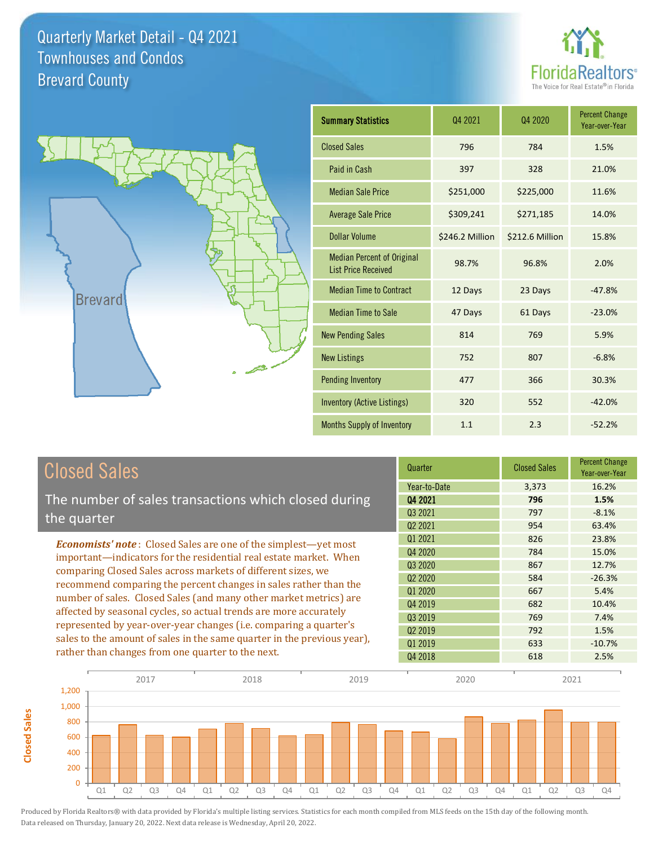



**Closed Sales**

**Closed Sales** 

| <b>Summary Statistics</b>                                       | Q4 2021         | Q4 2020         | <b>Percent Change</b><br>Year-over-Year |
|-----------------------------------------------------------------|-----------------|-----------------|-----------------------------------------|
| <b>Closed Sales</b>                                             | 796             | 784             | 1.5%                                    |
| Paid in Cash                                                    | 397             | 328             | 21.0%                                   |
| <b>Median Sale Price</b>                                        | \$251,000       | \$225,000       | 11.6%                                   |
| <b>Average Sale Price</b>                                       | \$309,241       | \$271,185       | 14.0%                                   |
| Dollar Volume                                                   | \$246.2 Million | \$212.6 Million | 15.8%                                   |
| <b>Median Percent of Original</b><br><b>List Price Received</b> | 98.7%           | 96.8%           | 2.0%                                    |
| <b>Median Time to Contract</b>                                  | 12 Days         | 23 Days         | $-47.8%$                                |
| <b>Median Time to Sale</b>                                      | 47 Days         | 61 Days         | $-23.0%$                                |
| <b>New Pending Sales</b>                                        | 814             | 769             | 5.9%                                    |
| <b>New Listings</b>                                             | 752             | 807             | $-6.8%$                                 |
| <b>Pending Inventory</b>                                        | 477             | 366             | 30.3%                                   |
| <b>Inventory (Active Listings)</b>                              | 320             | 552             | $-42.0%$                                |
| Months Supply of Inventory                                      | 1.1             | 2.3             | $-52.2%$                                |

| <b>Closed Sales</b>                                                                                                              | Quarter             | <b>Closed Sales</b> | <b>Percent Change</b><br>Year-over-Year |
|----------------------------------------------------------------------------------------------------------------------------------|---------------------|---------------------|-----------------------------------------|
|                                                                                                                                  | Year-to-Date        | 3,373               | 16.2%                                   |
| The number of sales transactions which closed during                                                                             | Q4 2021             | 796                 | 1.5%                                    |
| the quarter                                                                                                                      | Q <sub>3</sub> 2021 | 797                 | $-8.1%$                                 |
|                                                                                                                                  | Q <sub>2</sub> 2021 | 954                 | 63.4%                                   |
| <b>Economists' note:</b> Closed Sales are one of the simplest—yet most                                                           | 01 2021             | 826                 | 23.8%                                   |
| important-indicators for the residential real estate market. When                                                                | Q4 2020             | 784                 | 15.0%                                   |
| comparing Closed Sales across markets of different sizes, we<br>recommend comparing the percent changes in sales rather than the | Q3 2020             | 867                 | 12.7%                                   |
|                                                                                                                                  | Q <sub>2</sub> 2020 | 584                 | $-26.3%$                                |
|                                                                                                                                  | 01 2020             | 667                 | 5.4%                                    |
| number of sales. Closed Sales (and many other market metrics) are                                                                | Q4 2019             | 682                 | 10.4%                                   |
| affected by seasonal cycles, so actual trends are more accurately                                                                | Q3 2019             | 769                 | 7.4%                                    |
| represented by year-over-year changes (i.e. comparing a quarter's                                                                | Q <sub>2</sub> 2019 | 792                 | 1.5%                                    |
| sales to the amount of sales in the same quarter in the previous year),<br>rather than changes from one quarter to the next.     | 01 2019             | 633                 | $-10.7%$                                |
|                                                                                                                                  | Q4 2018             | 618                 | 2.5%                                    |

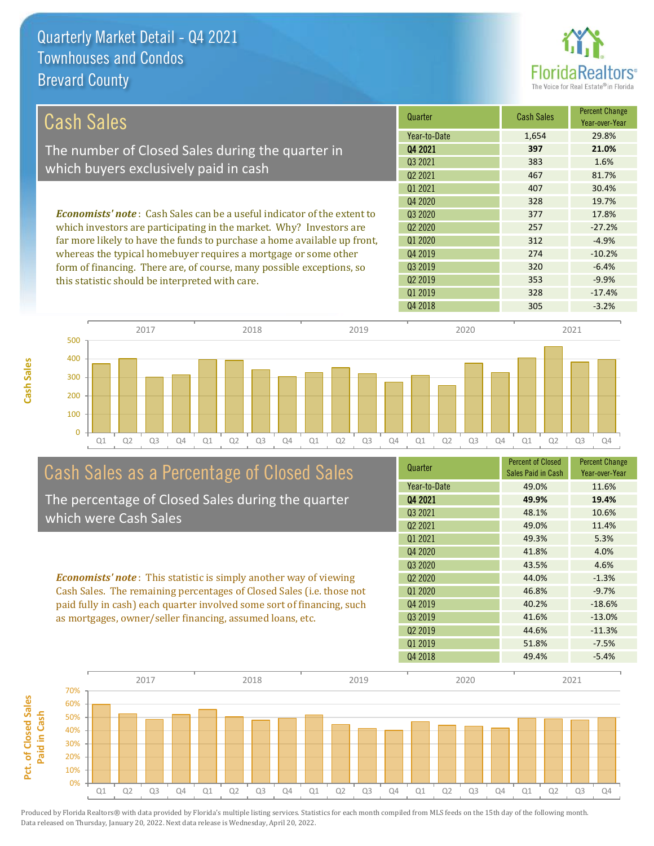

| <b>Cash Sales</b>                                                              | Quarter             | <b>Cash Sales</b> | <b>Percent Change</b><br>Year-over-Year |
|--------------------------------------------------------------------------------|---------------------|-------------------|-----------------------------------------|
|                                                                                | Year-to-Date        | 1,654             | 29.8%                                   |
| The number of Closed Sales during the quarter in                               | 04 2021             | 397               | 21.0%                                   |
| which buyers exclusively paid in cash                                          | 03 2021             | 383               | 1.6%                                    |
|                                                                                | 02 2021             | 467               | 81.7%                                   |
|                                                                                | 01 2021             | 407               | 30.4%                                   |
|                                                                                | 04 2020             | 328               | 19.7%                                   |
| <b>Economists' note:</b> Cash Sales can be a useful indicator of the extent to | 03 20 20            | 377               | 17.8%                                   |
| which investors are participating in the market. Why? Investors are            | 02 2020             | 257               | $-27.2%$                                |
| far more likely to have the funds to purchase a home available up front,       | Q1 2020             | 312               | $-4.9%$                                 |
| whereas the typical homebuyer requires a mortgage or some other                | Q4 2019             | 274               | $-10.2%$                                |
| form of financing. There are, of course, many possible exceptions, so          | Q3 2019             | 320               | $-6.4%$                                 |
| this statistic should be interpreted with care.                                | Q <sub>2</sub> 2019 | 353               | $-9.9%$                                 |
|                                                                                | Q1 2019             | 328               | $-17.4%$                                |



# Cash Sales as a Percentage of Closed Sales

The percentage of Closed Sales during the quarter which were Cash Sales

*Economists' note* : This statistic is simply another way of viewing Cash Sales. The remaining percentages of Closed Sales (i.e. those not paid fully in cash) each quarter involved some sort of financing, such as mortgages, owner/seller financing, assumed loans, etc.



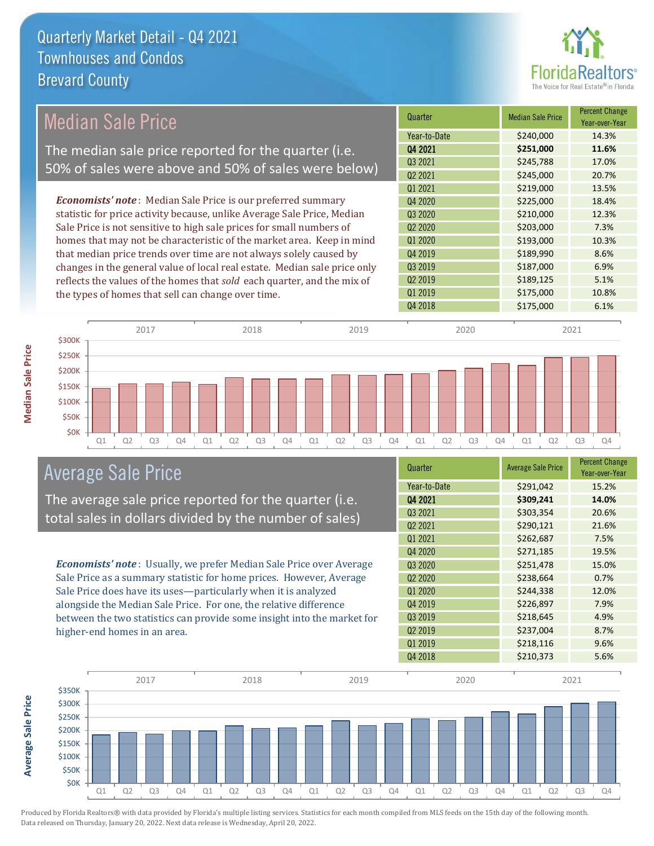

### Median Sale Price

The median sale price reported for the quarter (i.e. 50% of sales were above and 50% of sales were below)

*Economists' note* : Median Sale Price is our preferred summary statistic for price activity because, unlike Average Sale Price, Median Sale Price is not sensitive to high sale prices for small numbers of homes that may not be characteristic of the market area. Keep in mind that median price trends over time are not always solely caused by changes in the general value of local real estate. Median sale price only reflects the values of the homes that *sold* each quarter, and the mix of the types of homes that sell can change over time.

| Quarter             | <b>Median Sale Price</b> | <b>Percent Change</b><br>Year-over-Year |
|---------------------|--------------------------|-----------------------------------------|
| Year-to-Date        | \$240,000                | 14.3%                                   |
| Q4 2021             | \$251,000                | 11.6%                                   |
| Q3 2021             | \$245,788                | 17.0%                                   |
| Q <sub>2</sub> 2021 | \$245,000                | 20.7%                                   |
| Q1 2021             | \$219,000                | 13.5%                                   |
| Q4 2020             | \$225,000                | 18.4%                                   |
| Q3 2020             | \$210,000                | 12.3%                                   |
| Q <sub>2</sub> 2020 | \$203,000                | 7.3%                                    |
| Q1 2020             | \$193,000                | 10.3%                                   |
| Q4 2019             | \$189,990                | 8.6%                                    |
| Q3 2019             | \$187,000                | 6.9%                                    |
| Q <sub>2</sub> 2019 | \$189,125                | 5.1%                                    |
| Q1 2019             | \$175,000                | 10.8%                                   |
| Q4 2018             | \$175,000                | 6.1%                                    |



#### Average Sale Price

The average sale price reported for the quarter (i.e. total sales in dollars divided by the number of sales)

*Economists' note* : Usually, we prefer Median Sale Price over Average Sale Price as a summary statistic for home prices. However, Average Sale Price does have its uses—particularly when it is analyzed alongside the Median Sale Price. For one, the relative difference between the two statistics can provide some insight into the market for higher-end homes in an area.

| Quarter             | <b>Average Sale Price</b> | <b>Percent Change</b><br>Year-over-Year |
|---------------------|---------------------------|-----------------------------------------|
| Year-to-Date        | \$291,042                 | 15.2%                                   |
| Q4 2021             | \$309,241                 | 14.0%                                   |
| Q3 2021             | \$303,354                 | 20.6%                                   |
| Q <sub>2</sub> 2021 | \$290,121                 | 21.6%                                   |
| Q1 2021             | \$262,687                 | 7.5%                                    |
| Q4 2020             | \$271,185                 | 19.5%                                   |
| Q3 2020             | \$251,478                 | 15.0%                                   |
| Q <sub>2</sub> 2020 | \$238,664                 | 0.7%                                    |
| Q1 2020             | \$244,338                 | 12.0%                                   |
| Q4 2019             | \$226,897                 | 7.9%                                    |
| Q3 2019             | \$218,645                 | 4.9%                                    |
| Q <sub>2</sub> 2019 | \$237,004                 | 8.7%                                    |
| Q1 2019             | \$218,116                 | 9.6%                                    |
| Q4 2018             | \$210,373                 | 5.6%                                    |



Produced by Florida Realtors® with data provided by Florida's multiple listing services. Statistics for each month compiled from MLS feeds on the 15th day of the following month. Data released on Thursday, January 20, 2022. Next data release is Wednesday, April 20, 2022.

**Average Sale Price**

**Average Sale Price**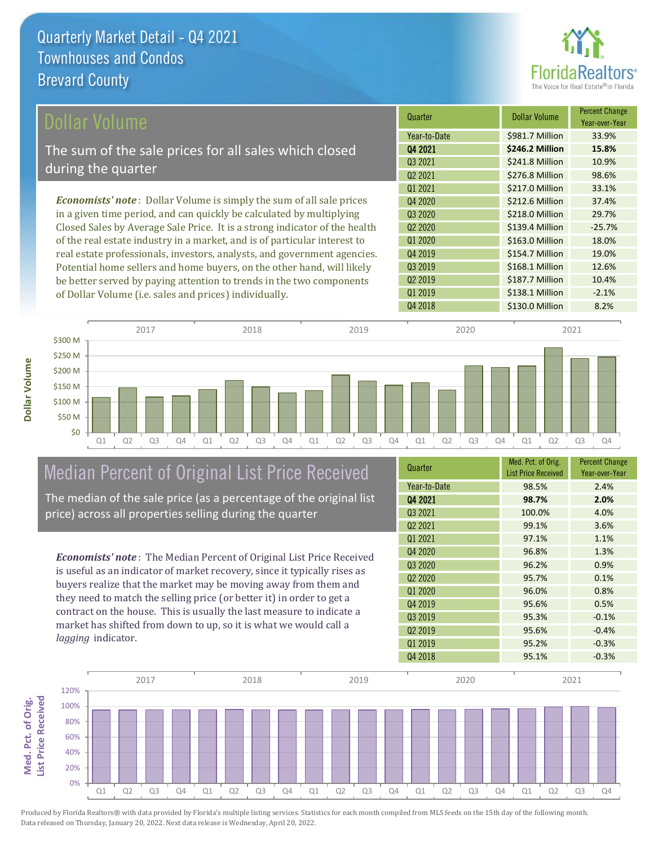

| Dollar Volume                                                                | Quarter             | <b>Dollar Volume</b> | <b>Percent Change</b><br>Year-over-Year |
|------------------------------------------------------------------------------|---------------------|----------------------|-----------------------------------------|
|                                                                              | Year-to-Date        | \$981.7 Million      | 33.9%                                   |
| The sum of the sale prices for all sales which closed                        | Q4 2021             | \$246.2 Million      | 15.8%                                   |
| during the quarter                                                           | Q3 2021             | \$241.8 Million      | 10.9%                                   |
|                                                                              | Q <sub>2</sub> 2021 | \$276.8 Million      | 98.6%                                   |
|                                                                              | 01 2021             | \$217.0 Million      | 33.1%                                   |
| <b>Economists' note</b> : Dollar Volume is simply the sum of all sale prices | Q4 2020             | \$212.6 Million      | 37.4%                                   |
| in a given time period, and can quickly be calculated by multiplying         | Q3 2020             | \$218.0 Million      | 29.7%                                   |
| Closed Sales by Average Sale Price. It is a strong indicator of the health   | Q <sub>2</sub> 2020 | \$139.4 Million      | $-25.7%$                                |
| of the real estate industry in a market, and is of particular interest to    | Q1 2020             | \$163.0 Million      | 18.0%                                   |
| real estate professionals, investors, analysts, and government agencies.     | Q4 2019             | \$154.7 Million      | 19.0%                                   |
| Potential home sellers and home buyers, on the other hand, will likely       | Q3 2019             | \$168.1 Million      | 12.6%                                   |
| be better served by paying attention to trends in the two components         | 02 2019             | \$187.7 Million      | 10.4%                                   |

of Dollar Volume (i.e. sales and prices) individually.

**Dollar Volume**



# Median Percent of Original List Price Received

The median of the sale price (as a percentage of the original list price) across all properties selling during the quarter

*Economists' note* : The Median Percent of Original List Price Received is useful as an indicator of market recovery, since it typically rises as buyers realize that the market may be moving away from them and they need to match the selling price (or better it) in order to get a contract on the house. This is usually the last measure to indicate a market has shifted from down to up, so it is what we would call a *lagging* indicator.

| Quarter                         | Med. Pct. of Orig.<br><b>List Price Received</b> | <b>Percent Change</b><br>Year-over-Year |
|---------------------------------|--------------------------------------------------|-----------------------------------------|
| Year-to-Date                    | 98.5%                                            | 2.4%                                    |
| Q4 2021                         | 98.7%                                            | 2.0%                                    |
| Q3 2021                         | 100.0%                                           | 4.0%                                    |
| Q <sub>2</sub> 2021             | 99.1%                                            | 3.6%                                    |
| 01 2021                         | 97.1%                                            | 1.1%                                    |
| Q4 2020                         | 96.8%                                            | 1.3%                                    |
| Q <sub>3</sub> 2020             | 96.2%                                            | 0.9%                                    |
| Q <sub>2</sub> 20 <sub>20</sub> | 95.7%                                            | 0.1%                                    |
| Q1 2020                         | 96.0%                                            | 0.8%                                    |
| Q4 2019                         | 95.6%                                            | 0.5%                                    |
| Q3 2019                         | 95.3%                                            | $-0.1%$                                 |
| Q <sub>2</sub> 2019             | 95.6%                                            | $-0.4%$                                 |
| Q1 2019                         | 95.2%                                            | $-0.3%$                                 |
| Q4 2018                         | 95.1%                                            | $-0.3%$                                 |

Q4 2018 **\$130.0 Million 8.2%** 

Q1 2019 **\$138.1 Million** -2.1%

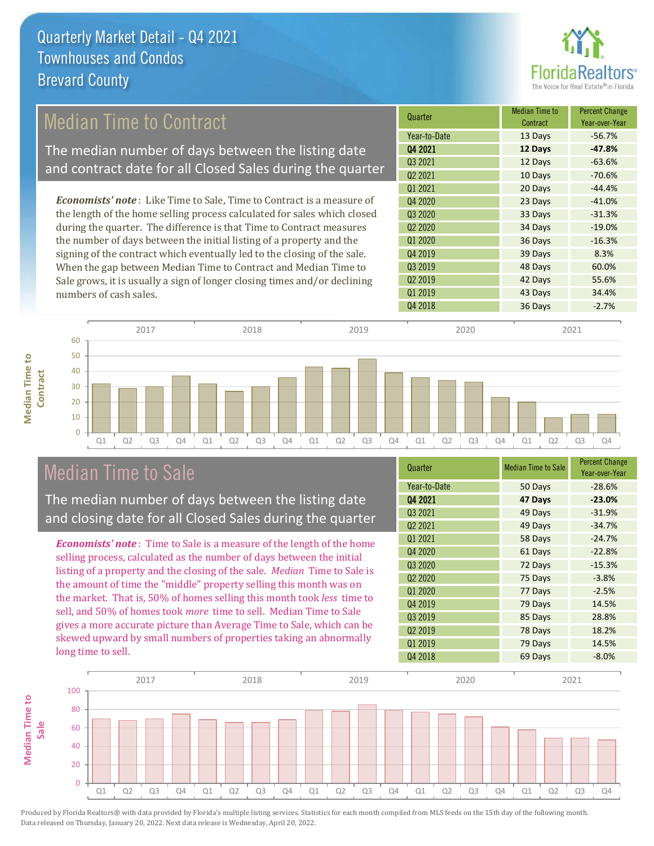

### Median Time to Contract

The median number of days between the listing date and contract date for all Closed Sales during the quarter

*Economists' note* : Like Time to Sale, Time to Contract is a measure of the length of the home selling process calculated for sales which closed during the quarter. The difference is that Time to Contract measures the number of days between the initial listing of a property and the signing of the contract which eventually led to the closing of the sale. When the gap between Median Time to Contract and Median Time to Sale grows, it is usually a sign of longer closing times and/or declining numbers of cash sales.

| Quarter             | <b>Median Time to</b><br>Contract | <b>Percent Change</b><br>Year-over-Year |
|---------------------|-----------------------------------|-----------------------------------------|
| Year-to-Date        | 13 Days                           | $-56.7%$                                |
| Q4 2021             | 12 Days                           | $-47.8%$                                |
| Q3 2021             | 12 Days                           | $-63.6%$                                |
| Q <sub>2</sub> 2021 | 10 Days                           | $-70.6%$                                |
| Q1 2021             | 20 Days                           | $-44.4%$                                |
| 04 2020             | 23 Days                           | $-41.0%$                                |
| Q3 2020             | 33 Days                           | $-31.3%$                                |
| Q <sub>2</sub> 2020 | 34 Days                           | $-19.0%$                                |
| Q1 2020             | 36 Days                           | $-16.3%$                                |
| Q4 2019             | 39 Days                           | 8.3%                                    |
| Q3 2019             | 48 Days                           | 60.0%                                   |
| Q <sub>2</sub> 2019 | 42 Days                           | 55.6%                                   |
| Q1 2019             | 43 Days                           | 34.4%                                   |
| Q4 2018             | 36 Days                           | $-2.7%$                                 |



### Median Time to Sale

**Median Time to** 

**Median Time to** 

The median number of days between the listing date and closing date for all Closed Sales during the quarter

*Economists' note* : Time to Sale is a measure of the length of the home selling process, calculated as the number of days between the initial listing of a property and the closing of the sale. *Median* Time to Sale is the amount of time the "middle" property selling this month was on the market. That is, 50% of homes selling this month took *less* time to sell, and 50% of homes took *more* time to sell. Median Time to Sale gives a more accurate picture than Average Time to Sale, which can be skewed upward by small numbers of properties taking an abnormally long time to sell.

| Quarter                         | <b>Median Time to Sale</b> | <b>Percent Change</b><br>Year-over-Year |
|---------------------------------|----------------------------|-----------------------------------------|
| Year-to-Date                    | 50 Days                    | $-28.6%$                                |
| Q4 2021                         | 47 Days                    | $-23.0%$                                |
| Q3 2021                         | 49 Days                    | $-31.9%$                                |
| Q <sub>2</sub> 2021             | 49 Days                    | $-34.7%$                                |
| Q1 2021                         | 58 Days                    | $-24.7%$                                |
| Q4 2020                         | 61 Days                    | $-22.8%$                                |
| Q3 2020                         | 72 Days                    | $-15.3%$                                |
| Q <sub>2</sub> 20 <sub>20</sub> | 75 Days                    | $-3.8%$                                 |
| Q1 2020                         | 77 Days                    | $-2.5%$                                 |
| Q4 2019                         | 79 Days                    | 14.5%                                   |
| Q3 2019                         | 85 Days                    | 28.8%                                   |
| Q <sub>2</sub> 2019             | 78 Days                    | 18.2%                                   |
| Q1 2019                         | 79 Days                    | 14.5%                                   |
| Q4 2018                         | 69 Days                    | $-8.0%$                                 |

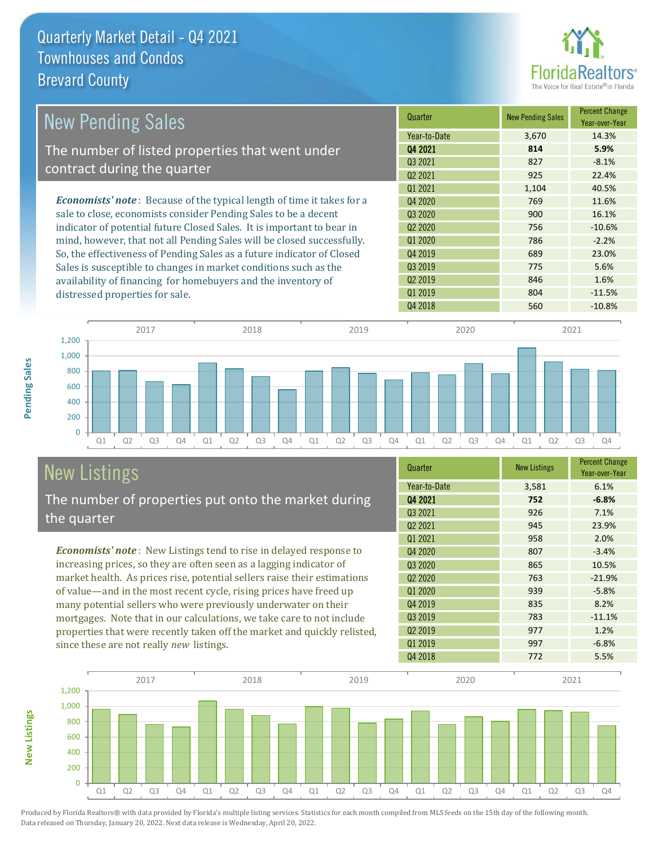

| <b>New Pending Sales</b>                                                       | Quarter             | <b>New Pending Sales</b> | <b>Percent Change</b><br>Year-over-Year |
|--------------------------------------------------------------------------------|---------------------|--------------------------|-----------------------------------------|
|                                                                                | Year-to-Date        | 3,670                    | 14.3%                                   |
| The number of listed properties that went under                                | 04 2021             | 814                      | 5.9%                                    |
| contract during the quarter                                                    | Q3 2021             | 827                      | $-8.1%$                                 |
|                                                                                | Q <sub>2</sub> 2021 | 925                      | 22.4%                                   |
|                                                                                | Q1 2021             | 1,104                    | 40.5%                                   |
| <b>Economists' note</b> : Because of the typical length of time it takes for a | Q4 2020             | 769                      | 11.6%                                   |
| sale to close, economists consider Pending Sales to be a decent                | Q3 2020             | 900                      | 16.1%                                   |
| indicator of potential future Closed Sales. It is important to bear in         | 02 2020             | 756                      | $-10.6%$                                |
| mind, however, that not all Pending Sales will be closed successfully.         | 01 2020             | 786                      | $-2.2%$                                 |
| So, the effectiveness of Pending Sales as a future indicator of Closed         | Q4 2019             | 689                      | 23.0%                                   |
| Sales is susceptible to changes in market conditions such as the               | Q3 2019             | 775                      | 5.6%                                    |
| availability of financing for homebuyers and the inventory of                  | Q <sub>2</sub> 2019 | 846                      | 1.6%                                    |
| distressed properties for sale.                                                | Q1 2019             | 804                      | $-11.5%$                                |



# New Listings

**New Listings**

**Pending Sales**

Pending Sales

The number of properties put onto the market during the quarter

*Economists' note* : New Listings tend to rise in delayed response to increasing prices, so they are often seen as a lagging indicator of market health. As prices rise, potential sellers raise their estimations of value—and in the most recent cycle, rising prices have freed up many potential sellers who were previously underwater on their mortgages. Note that in our calculations, we take care to not include properties that were recently taken off the market and quickly relisted, since these are not really *new* listings.

| Quarter             | <b>New Listings</b> | <b>Percent Change</b><br>Year-over-Year |
|---------------------|---------------------|-----------------------------------------|
| Year-to-Date        | 3,581               | 6.1%                                    |
| 04 2021             | 752                 | $-6.8%$                                 |
| Q3 2021             | 926                 | 7.1%                                    |
| Q <sub>2</sub> 2021 | 945                 | 23.9%                                   |
| Q1 2021             | 958                 | 2.0%                                    |
| Q4 2020             | 807                 | $-3.4%$                                 |
| Q <sub>3</sub> 2020 | 865                 | 10.5%                                   |
| 02 2020             | 763                 | $-21.9%$                                |
| Q1 2020             | 939                 | $-5.8%$                                 |
| Q4 2019             | 835                 | 8.2%                                    |
| Q3 2019             | 783                 | $-11.1%$                                |
| Q <sub>2</sub> 2019 | 977                 | 1.2%                                    |
| Q1 2019             | 997                 | $-6.8%$                                 |
| Q4 2018             | 772                 | 5.5%                                    |

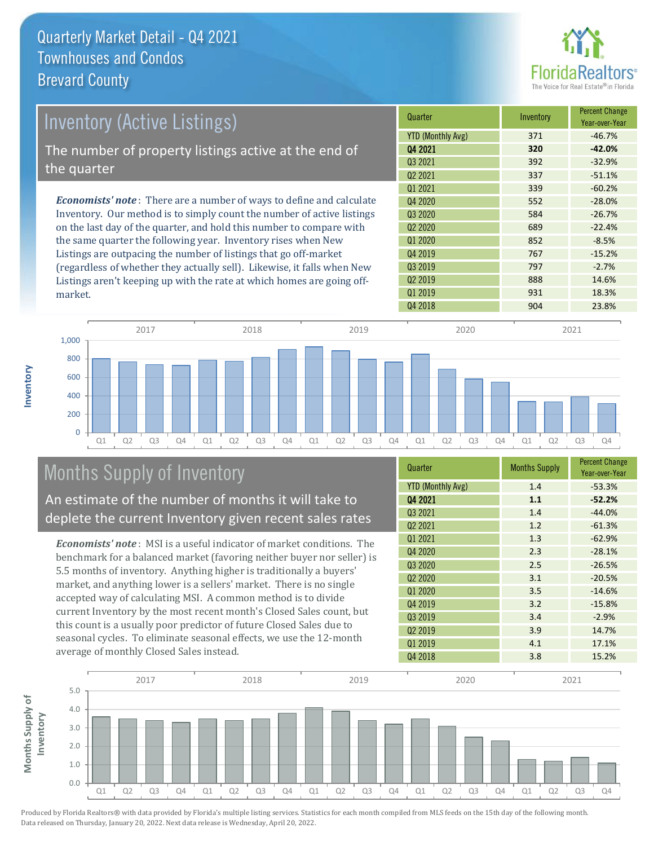

| Inventory (Active Listings)                                                  | Quarter                  | Inventory | <b>Percent Change</b><br>Year-over-Year |
|------------------------------------------------------------------------------|--------------------------|-----------|-----------------------------------------|
|                                                                              | <b>YTD (Monthly Avg)</b> | 371       | $-46.7%$                                |
| The number of property listings active at the end of                         | Q4 2021                  | 320       | $-42.0%$                                |
| the quarter                                                                  | Q <sub>3</sub> 2021      | 392       | $-32.9%$                                |
|                                                                              | 02 2021                  | 337       | $-51.1%$                                |
|                                                                              | 01 2021                  | 339       | $-60.2%$                                |
| <b>Economists' note</b> : There are a number of ways to define and calculate | Q4 2020                  | 552       | $-28.0%$                                |
| Inventory. Our method is to simply count the number of active listings       | Q3 2020                  | 584       | $-26.7%$                                |
| on the last day of the quarter, and hold this number to compare with         | Q <sub>2</sub> 2020      | 689       | $-22.4%$                                |
| the same quarter the following year. Inventory rises when New                | Q1 2020                  | 852       | $-8.5%$                                 |
| Listings are outpacing the number of listings that go off-market             | Q4 2019                  | 767       | $-15.2%$                                |
| (regardless of whether they actually sell). Likewise, it falls when New      | Q3 2019                  | 797       | $-2.7%$                                 |

Q1 Q2 Q3 Q4 Q1 Q2 Q3 Q4 Q1 Q2 Q3 Q4 Q1 Q2 Q3 Q4 Q1 Q2 Q3 Q4 0 200 400 600 800 1,000 2017 2018 2019 2020 2021

## Months Supply of Inventory

market.

**Inventory**

An estimate of the number of months it will take to deplete the current Inventory given recent sales rates

Listings aren't keeping up with the rate at which homes are going off-

*Economists' note* : MSI is a useful indicator of market conditions. The benchmark for a balanced market (favoring neither buyer nor seller) is 5.5 months of inventory. Anything higher is traditionally a buyers' market, and anything lower is a sellers' market. There is no single accepted way of calculating MSI. A common method is to divide current Inventory by the most recent month's Closed Sales count, but this count is a usually poor predictor of future Closed Sales due to seasonal cycles. To eliminate seasonal effects, we use the 12-month average of monthly Closed Sales instead.

| Quarter                  | <b>Months Supply</b> | <b>Percent Change</b><br>Year-over-Year |
|--------------------------|----------------------|-----------------------------------------|
| <b>YTD (Monthly Avg)</b> | 1.4                  | $-53.3%$                                |
| 04 2021                  | 1.1                  | $-52.2%$                                |
| Q3 2021                  | 1.4                  | $-44.0%$                                |
| Q <sub>2</sub> 2021      | 1.2                  | $-61.3%$                                |
| Q1 2021                  | 1.3                  | $-62.9%$                                |
| Q4 2020                  | 2.3                  | $-28.1%$                                |
| Q3 2020                  | 2.5                  | $-26.5%$                                |
| Q2 2020                  | 3.1                  | $-20.5%$                                |
| Q1 2020                  | 3.5                  | $-14.6%$                                |
| Q4 2019                  | 3.2                  | $-15.8%$                                |
| Q3 2019                  | 3.4                  | $-2.9%$                                 |
| Q <sub>2</sub> 2019      | 3.9                  | 14.7%                                   |
| 01 2019                  | 4.1                  | 17.1%                                   |
| Q4 2018                  | 3.8                  | 15.2%                                   |

Q4 2018 23.8%

Q2 2019 888 14.6% Q1 2019 01:00 01:00 01:00 031

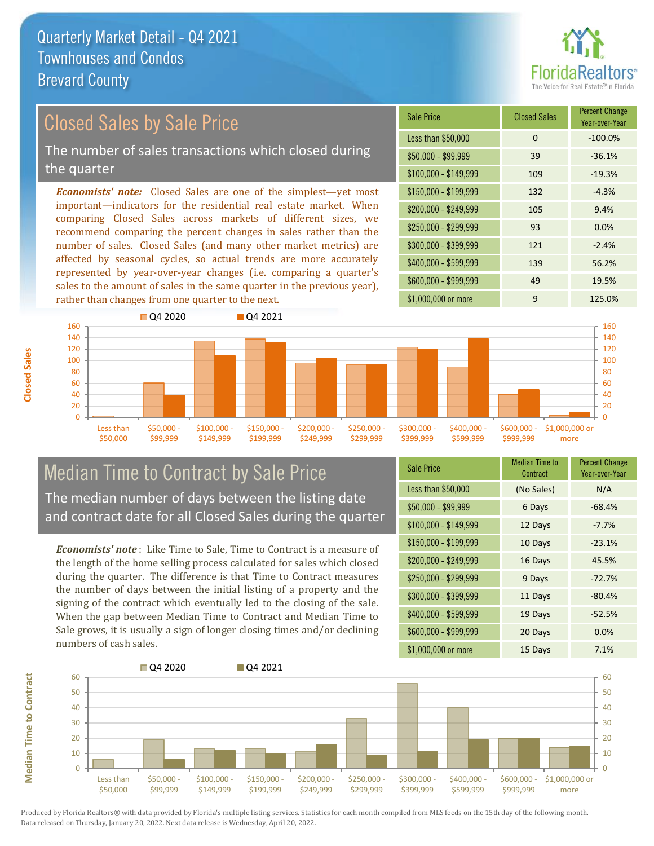

#### *Economists' note:* Closed Sales are one of the simplest—yet most important—indicators for the residential real estate market. When comparing Closed Sales across markets of different sizes, we recommend comparing the percent changes in sales rather than the number of sales. Closed Sales (and many other market metrics) are Closed Sales by Sale Price The number of sales transactions which closed during the quarter

affected by seasonal cycles, so actual trends are more accurately represented by year-over-year changes (i.e. comparing a quarter's sales to the amount of sales in the same quarter in the previous year), rather than changes from one quarter to the next.

| Sale Price            | <b>Closed Sales</b> | <b>Percent Change</b><br>Year-over-Year |
|-----------------------|---------------------|-----------------------------------------|
| Less than \$50,000    | $\Omega$            | $-100.0%$                               |
| $$50,000 - $99,999$   | 39                  | $-36.1%$                                |
| $$100,000 - $149,999$ | 109                 | $-19.3%$                                |
| $$150,000 - $199,999$ | 132                 | $-4.3%$                                 |
| \$200,000 - \$249,999 | 105                 | 9.4%                                    |
| \$250,000 - \$299,999 | 93                  | 0.0%                                    |
| \$300,000 - \$399,999 | 121                 | $-2.4%$                                 |
| \$400,000 - \$599,999 | 139                 | 56.2%                                   |
| \$600,000 - \$999,999 | 49                  | 19.5%                                   |
| \$1,000,000 or more   | 9                   | 125.0%                                  |



#### Median Time to Contract by Sale Price The median number of days between the listing date and contract date for all Closed Sales during the quarter

*Economists' note* : Like Time to Sale, Time to Contract is a measure of the length of the home selling process calculated for sales which closed during the quarter. The difference is that Time to Contract measures the number of days between the initial listing of a property and the signing of the contract which eventually led to the closing of the sale. When the gap between Median Time to Contract and Median Time to Sale grows, it is usually a sign of longer closing times and/or declining numbers of cash sales.

| <b>Sale Price</b>     | Median Time to<br>Contract | <b>Percent Change</b><br>Year-over-Year |
|-----------------------|----------------------------|-----------------------------------------|
| Less than \$50,000    | (No Sales)                 | N/A                                     |
| $$50,000 - $99,999$   | 6 Days                     | $-68.4%$                                |
| $$100,000 - $149,999$ | 12 Days                    | $-7.7%$                                 |
| $$150,000 - $199,999$ | 10 Days                    | $-23.1%$                                |
| \$200,000 - \$249,999 | 16 Days                    | 45.5%                                   |
| \$250,000 - \$299,999 | 9 Days                     | $-72.7%$                                |
| \$300,000 - \$399,999 | 11 Days                    | $-80.4%$                                |
| \$400,000 - \$599,999 | 19 Days                    | $-52.5%$                                |
| \$600,000 - \$999,999 | 20 Days                    | 0.0%                                    |
| \$1,000,000 or more   | 15 Days                    | 7.1%                                    |



Produced by Florida Realtors® with data provided by Florida's multiple listing services. Statistics for each month compiled from MLS feeds on the 15th day of the following month. Data released on Thursday, January 20, 2022. Next data release is Wednesday, April 20, 2022.

**Median Time to Contract**

**Median Time to Contract**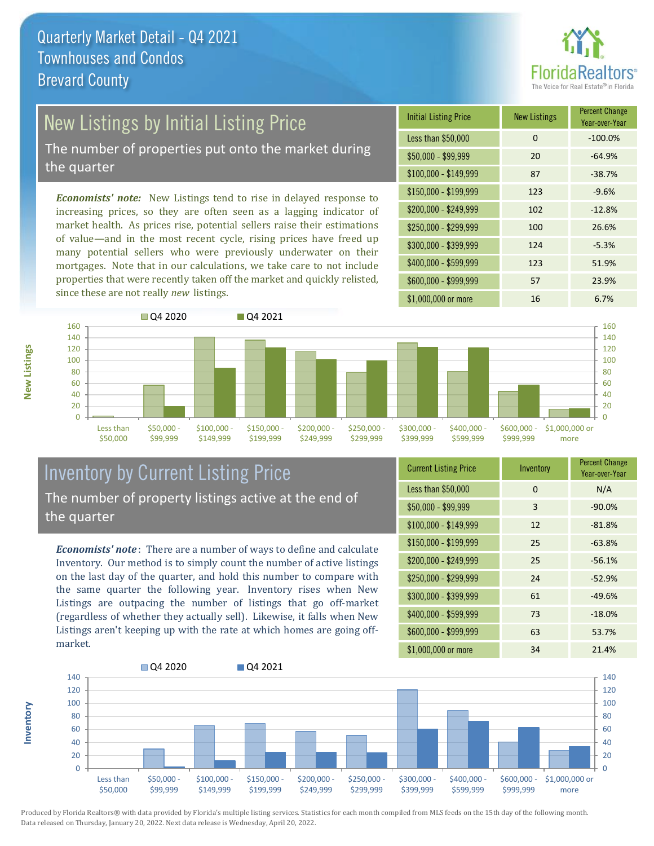

## New Listings by Initial Listing Price

The number of properties put onto the market during the quarter

*Economists' note:* New Listings tend to rise in delayed response to increasing prices, so they are often seen as a lagging indicator of market health. As prices rise, potential sellers raise their estimations of value—and in the most recent cycle, rising prices have freed up many potential sellers who were previously underwater on their mortgages. Note that in our calculations, we take care to not include properties that were recently taken off the market and quickly relisted, since these are not really *new* listings.





#### Inventory by Current Listing Price The number of property listings active at the end of the quarter

*Economists' note* : There are a number of ways to define and calculate Inventory. Our method is to simply count the number of active listings on the last day of the quarter, and hold this number to compare with the same quarter the following year. Inventory rises when New Listings are outpacing the number of listings that go off-market (regardless of whether they actually sell). Likewise, it falls when New Listings aren't keeping up with the rate at which homes are going offmarket.

| <b>Current Listing Price</b> | Inventory | <b>Percent Change</b><br>Year-over-Year |
|------------------------------|-----------|-----------------------------------------|
| Less than \$50,000           | 0         | N/A                                     |
| \$50,000 - \$99,999          | 3         | $-90.0%$                                |
| $$100,000 - $149,999$        | 12        | $-81.8%$                                |
| $$150,000 - $199,999$        | 25        | $-63.8%$                                |
| \$200,000 - \$249,999        | 25        | $-56.1%$                                |
| \$250,000 - \$299,999        | 24        | $-52.9%$                                |
| \$300,000 - \$399,999        | 61        | $-49.6%$                                |
| \$400,000 - \$599,999        | 73        | $-18.0%$                                |
| \$600,000 - \$999,999        | 63        | 53.7%                                   |
| \$1,000,000 or more          | 34        | 21.4%                                   |



Produced by Florida Realtors® with data provided by Florida's multiple listing services. Statistics for each month compiled from MLS feeds on the 15th day of the following month. Data released on Thursday, January 20, 2022. Next data release is Wednesday, April 20, 2022.

**Inventory**